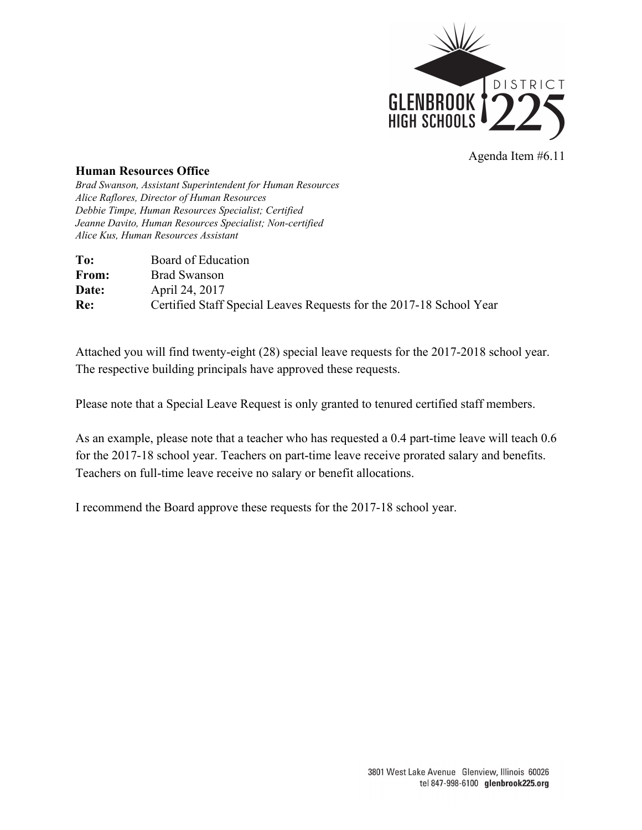

## **Human Resources Office**

*Brad Swanson, Assistant Superintendent for Human Resources Alice Raflores, Director of Human Resources Debbie Timpe, Human Resources Specialist; Certified Jeanne Davito, Human Resources Specialist; Non-certified Alice Kus, Human Resources Assistant*

| To:   | Board of Education                                                  |
|-------|---------------------------------------------------------------------|
| From: | <b>Brad Swanson</b>                                                 |
| Date: | April 24, 2017                                                      |
| Re:   | Certified Staff Special Leaves Requests for the 2017-18 School Year |

Attached you will find twenty-eight (28) special leave requests for the 2017-2018 school year. The respective building principals have approved these requests.

Please note that a Special Leave Request is only granted to tenured certified staff members.

As an example, please note that a teacher who has requested a 0.4 part-time leave will teach 0.6 for the 2017-18 school year. Teachers on part-time leave receive prorated salary and benefits. Teachers on full-time leave receive no salary or benefit allocations.

I recommend the Board approve these requests for the 2017-18 school year.